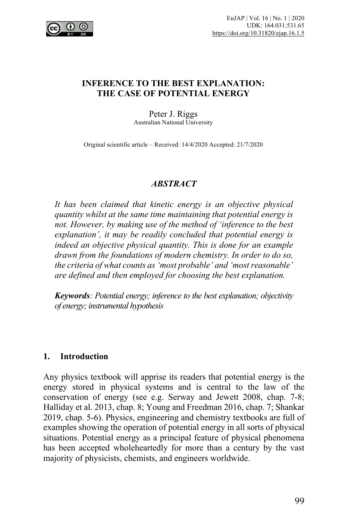

### **INFERENCE TO THE BEST EXPLANATION: THE CASE OF POTENTIAL ENERGY**

Peter J. Riggs Australian National University

Original scientific article – Received: 14/4/2020 Accepted: 21/7/2020

### *ABSTRACT*

*It has been claimed that kinetic energy is an objective physical quantity whilst at the same time maintaining that potential energy is not. However, by making use of the method of 'inference to the best explanation', it may be readily concluded that potential energy is indeed an objective physical quantity. This is done for an example drawn from the foundations of modern chemistry. In order to do so, the criteria of what counts as'most probable' and 'mostreasonable' are defined and then employed for choosing the best explanation.*

*Keywords: Potential energy; inference to the best explanation; objectivity of energy;instrumental hypothesis*

#### **1. Introduction**

Any physics textbook will apprise its readers that potential energy is the energy stored in physical systems and is central to the law of the conservation of energy (see e.g. Serway and Jewett 2008, chap. 7-8; Halliday et al. 2013, chap. 8; Young and Freedman 2016, chap. 7; Shankar 2019, chap. 5-6). Physics, engineering and chemistry textbooks are full of examples showing the operation of potential energy in all sorts of physical situations. Potential energy as a principal feature of physical phenomena has been accepted wholeheartedly for more than a century by the vast majority of physicists, chemists, and engineers worldwide.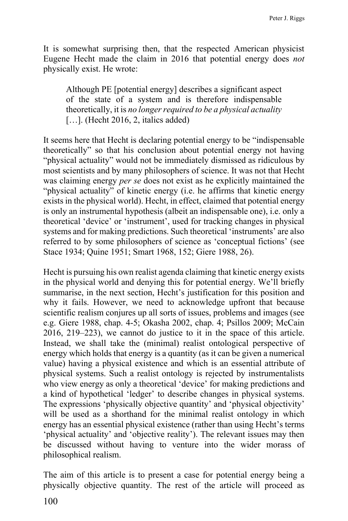It is somewhat surprising then, that the respected American physicist Eugene Hecht made the claim in 2016 that potential energy does *not* physically exist. He wrote:

Although PE [potential energy] describes a significant aspect of the state of a system and is therefore indispensable theoretically, it is *no longerrequired to be a physical actuality* [...]. (Hecht 2016, 2, italics added)

It seems here that Hecht is declaring potential energy to be "indispensable theoretically" so that his conclusion about potential energy not having "physical actuality" would not be immediately dismissed as ridiculous by most scientists and by many philosophers of science. It was not that Hecht was claiming energy *per se* does not exist as he explicitly maintained the "physical actuality" of kinetic energy (i.e. he affirms that kinetic energy exists in the physical world). Hecht, in effect, claimed that potential energy is only an instrumental hypothesis (albeit an indispensable one), i.e. only a theoretical 'device' or 'instrument', used for tracking changes in physical systems and for making predictions. Such theoretical 'instruments' are also referred to by some philosophers of science as 'conceptual fictions' (see Stace 1934; Quine 1951; Smart 1968, 152; Giere 1988, 26).

Hecht is pursuing his own realist agenda claiming that kinetic energy exists in the physical world and denying this for potential energy. We'll briefly summarise, in the next section, Hecht's justification for this position and why it fails. However, we need to acknowledge upfront that because scientific realism conjures up all sorts of issues, problems and images (see e.g. Giere 1988, chap. 4-5; Okasha 2002, chap. 4; Psillos 2009; McCain 2016, 219–223), we cannot do justice to it in the space of this article. Instead, we shall take the (minimal) realist ontological perspective of energy which holds that energy is a quantity (as it can be given a numerical value) having a physical existence and which is an essential attribute of physical systems. Such a realist ontology is rejected by instrumentalists who view energy as only a theoretical 'device' for making predictions and a kind of hypothetical 'ledger' to describe changes in physical systems. The expressions 'physically objective quantity' and 'physical objectivity' will be used as a shorthand for the minimal realist ontology in which energy has an essential physical existence (rather than using Hecht's terms 'physical actuality' and 'objective reality'). The relevant issues may then be discussed without having to venture into the wider morass of philosophical realism.

The aim of this article is to present a case for potential energy being a physically objective quantity. The rest of the article will proceed as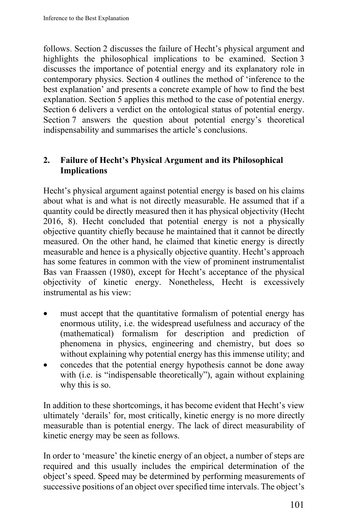follows. Section 2 discusses the failure of Hecht's physical argument and highlights the philosophical implications to be examined. Section 3 discusses the importance of potential energy and its explanatory role in contemporary physics. Section 4 outlines the method of 'inference to the best explanation' and presents a concrete example of how to find the best explanation. Section 5 applies this method to the case of potential energy. Section 6 delivers a verdict on the ontological status of potential energy. Section 7 answers the question about potential energy's theoretical indispensability and summarises the article's conclusions.

# **2. Failure of Hecht's Physical Argument and its Philosophical Implications**

Hecht's physical argument against potential energy is based on his claims about what is and what is not directly measurable. He assumed that if a quantity could be directly measured then it has physical objectivity (Hecht 2016, 8). Hecht concluded that potential energy is not a physically objective quantity chiefly because he maintained that it cannot be directly measured. On the other hand, he claimed that kinetic energy is directly measurable and hence is a physically objective quantity. Hecht's approach has some features in common with the view of prominent instrumentalist Bas van Fraassen (1980), except for Hecht's acceptance of the physical objectivity of kinetic energy. Nonetheless, Hecht is excessively instrumental as his view:

- must accept that the quantitative formalism of potential energy has enormous utility, i.e. the widespread usefulness and accuracy of the (mathematical) formalism for description and prediction of phenomena in physics, engineering and chemistry, but does so without explaining why potential energy has this immense utility; and
- concedes that the potential energy hypothesis cannot be done away with (i.e. is "indispensable theoretically"), again without explaining why this is so.

In addition to these shortcomings, it has become evident that Hecht's view ultimately 'derails' for, most critically, kinetic energy is no more directly measurable than is potential energy. The lack of direct measurability of kinetic energy may be seen as follows.

In order to 'measure' the kinetic energy of an object, a number of steps are required and this usually includes the empirical determination of the object's speed. Speed may be determined by performing measurements of successive positions of an object over specified time intervals. The object's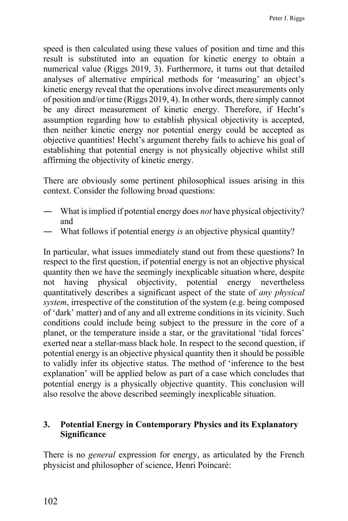speed is then calculated using these values of position and time and this result is substituted into an equation for kinetic energy to obtain a numerical value (Riggs 2019, 3). Furthermore, it turns out that detailed analyses of alternative empirical methods for 'measuring' an object's kinetic energy reveal that the operations involve direct measurements only of position and/or time (Riggs 2019, 4). In other words, there simply cannot be any direct measurement of kinetic energy. Therefore, if Hecht's assumption regarding how to establish physical objectivity is accepted, then neither kinetic energy nor potential energy could be accepted as objective quantities! Hecht's argument thereby fails to achieve his goal of establishing that potential energy is not physically objective whilst still affirming the objectivity of kinetic energy.

There are obviously some pertinent philosophical issues arising in this context. Consider the following broad questions:

- ― What is implied if potential energy does *not* have physical objectivity? and
- ― What follows if potential energy *is* an objective physical quantity?

In particular, what issues immediately stand out from these questions? In respect to the first question, if potential energy is not an objective physical quantity then we have the seemingly inexplicable situation where, despite not having physical objectivity, potential energy nevertheless quantitatively describes a significant aspect of the state of *any physical system*, irrespective of the constitution of the system (e.g. being composed of 'dark' matter) and of any and all extreme conditions in its vicinity. Such conditions could include being subject to the pressure in the core of a planet, or the temperature inside a star, or the gravitational 'tidal forces' exerted near a stellar-mass black hole. In respect to the second question, if potential energy is an objective physical quantity then it should be possible to validly infer its objective status. The method of 'inference to the best explanation' will be applied below as part of a case which concludes that potential energy is a physically objective quantity. This conclusion will also resolve the above described seemingly inexplicable situation.

# **3. Potential Energy in Contemporary Physics and its Explanatory Significance**

There is no *general* expression for energy, as articulated by the French physicist and philosopher of science, Henri Poincaré: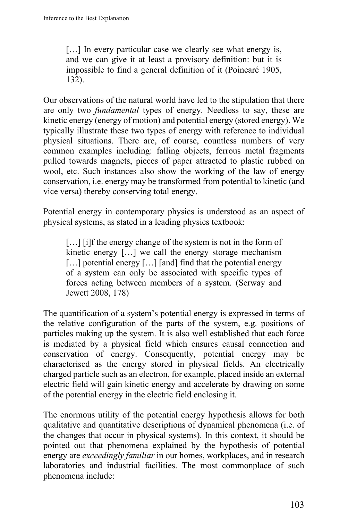[...] In every particular case we clearly see what energy is, and we can give it at least a provisory definition: but it is impossible to find a general definition of it (Poincaré 1905, 132).

Our observations of the natural world have led to the stipulation that there are only two *fundamental* types of energy. Needless to say, these are kinetic energy (energy of motion) and potential energy (stored energy). We typically illustrate these two types of energy with reference to individual physical situations. There are, of course, countless numbers of very common examples including: falling objects, ferrous metal fragments pulled towards magnets, pieces of paper attracted to plastic rubbed on wool, etc. Such instances also show the working of the law of energy conservation, i.e. energy may be transformed from potential to kinetic (and vice versa) thereby conserving total energy.

Potential energy in contemporary physics is understood as an aspect of physical systems, as stated in a leading physics textbook:

[...] [i]f the energy change of the system is not in the form of kinetic energy […] we call the energy storage mechanism [...] potential energy [...] [and] find that the potential energy of a system can only be associated with specific types of forces acting between members of a system. (Serway and Jewett 2008, 178)

The quantification of a system's potential energy is expressed in terms of the relative configuration of the parts of the system, e.g. positions of particles making up the system. It is also well established that each force is mediated by a physical field which ensures causal connection and conservation of energy. Consequently, potential energy may be characterised as the energy stored in physical fields. An electrically charged particle such as an electron, for example, placed inside an external electric field will gain kinetic energy and accelerate by drawing on some of the potential energy in the electric field enclosing it.

The enormous utility of the potential energy hypothesis allows for both qualitative and quantitative descriptions of dynamical phenomena (i.e. of the changes that occur in physical systems). In this context, it should be pointed out that phenomena explained by the hypothesis of potential energy are *exceedingly familiar* in our homes, workplaces, and in research laboratories and industrial facilities. The most commonplace of such phenomena include: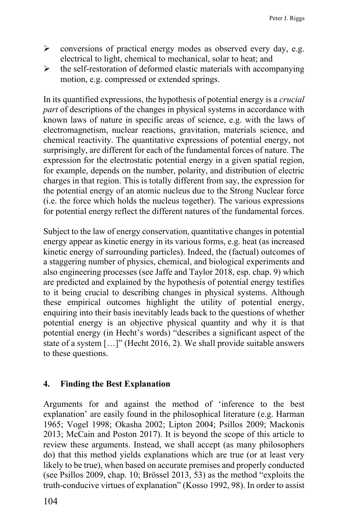- $\triangleright$  conversions of practical energy modes as observed every day, e.g. electrical to light, chemical to mechanical, solar to heat; and
- $\triangleright$  the self-restoration of deformed elastic materials with accompanying motion, e.g. compressed or extended springs.

In its quantified expressions, the hypothesis of potential energy is a *crucial part* of descriptions of the changes in physical systems in accordance with known laws of nature in specific areas of science, e.g. with the laws of electromagnetism, nuclear reactions, gravitation, materials science, and chemical reactivity. The quantitative expressions of potential energy, not surprisingly, are different for each of the fundamental forces of nature. The expression for the electrostatic potential energy in a given spatial region, for example, depends on the number, polarity, and distribution of electric charges in that region. This is totally different from say, the expression for the potential energy of an atomic nucleus due to the Strong Nuclear force (i.e. the force which holds the nucleus together). The various expressions for potential energy reflect the different natures of the fundamental forces.

Subject to the law of energy conservation, quantitative changes in potential energy appear as kinetic energy in its various forms, e.g. heat (as increased kinetic energy of surrounding particles). Indeed, the (factual) outcomes of a staggering number of physics, chemical, and biological experiments and also engineering processes (see Jaffe and Taylor 2018, esp. chap. 9) which are predicted and explained by the hypothesis of potential energy testifies to it being crucial to describing changes in physical systems. Although these empirical outcomes highlight the utility of potential energy, enquiring into their basis inevitably leads back to the questions of whether potential energy is an objective physical quantity and why it is that potential energy (in Hecht's words) "describes a significant aspect of the state of a system […]" (Hecht 2016, 2). We shall provide suitable answers to these questions.

# **4. Finding the Best Explanation**

Arguments for and against the method of 'inference to the best explanation' are easily found in the philosophical literature (e.g. Harman 1965; Vogel 1998; Okasha 2002; Lipton 2004; Psillos 2009; Mackonis 2013; McCain and Poston 2017). It is beyond the scope of this article to review these arguments. Instead, we shall accept (as many philosophers do) that this method yields explanations which are true (or at least very likely to be true), when based on accurate premises and properly conducted (see Psillos 2009, chap. 10; Brössel 2013, 53) as the method "exploits the truth-conducive virtues of explanation" (Kosso 1992, 98). In order to assist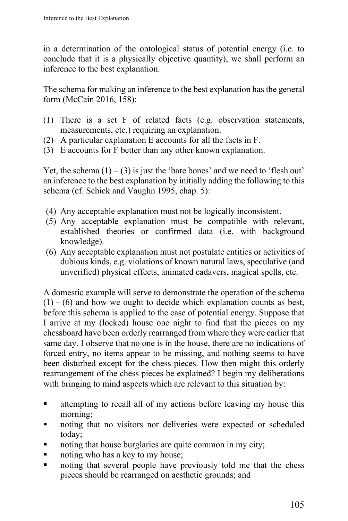in a determination of the ontological status of potential energy (i.e. to conclude that it is a physically objective quantity), we shall perform an inference to the best explanation.

The schema for making an inference to the best explanation has the general form (McCain 2016, 158):

- (1) There is a set F of related facts (e.g. observation statements, measurements, etc.) requiring an explanation.
- (2) A particular explanation E accounts for all the facts in F.
- (3) E accounts for F better than any other known explanation.

Yet, the schema  $(1) - (3)$  is just the 'bare bones' and we need to 'flesh out' an inference to the best explanation by initially adding the following to this schema (cf. Schick and Vaughn 1995, chap. 5):

- (4) Any acceptable explanation must not be logically inconsistent.
- (5) Any acceptable explanation must be compatible with relevant, established theories or confirmed data (i.e. with background knowledge).
- (6) Any acceptable explanation must not postulate entities or activities of dubious kinds, e.g. violations of known natural laws, speculative (and unverified) physical effects, animated cadavers, magical spells, etc.

A domestic example will serve to demonstrate the operation of the schema  $(1) - (6)$  and how we ought to decide which explanation counts as best, before this schema is applied to the case of potential energy. Suppose that I arrive at my (locked) house one night to find that the pieces on my chessboard have been orderly rearranged from where they were earlier that same day. I observe that no one is in the house, there are no indications of forced entry, no items appear to be missing, and nothing seems to have been disturbed except for the chess pieces. How then might this orderly rearrangement of the chess pieces be explained? I begin my deliberations with bringing to mind aspects which are relevant to this situation by:

- **•** attempting to recall all of my actions before leaving my house this morning;
- noting that no visitors nor deliveries were expected or scheduled today;
- noting that house burglaries are quite common in my city;
- noting who has a key to my house;
- noting that several people have previously told me that the chess pieces should be rearranged on aesthetic grounds; and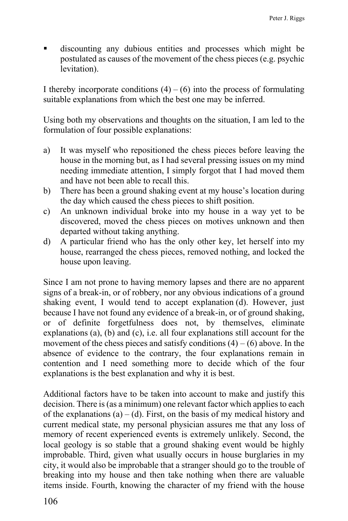discounting any dubious entities and processes which might be postulated as causes of the movement of the chess pieces (e.g. psychic levitation).

I thereby incorporate conditions  $(4) - (6)$  into the process of formulating suitable explanations from which the best one may be inferred.

Using both my observations and thoughts on the situation, I am led to the formulation of four possible explanations:

- a) It was myself who repositioned the chess pieces before leaving the house in the morning but, as I had several pressing issues on my mind needing immediate attention, I simply forgot that I had moved them and have not been able to recall this.
- b) There has been a ground shaking event at my house's location during the day which caused the chess pieces to shift position.
- c) An unknown individual broke into my house in a way yet to be discovered, moved the chess pieces on motives unknown and then departed without taking anything.
- d) A particular friend who has the only other key, let herself into my house, rearranged the chess pieces, removed nothing, and locked the house upon leaving.

Since I am not prone to having memory lapses and there are no apparent signs of a break-in, or of robbery, nor any obvious indications of a ground shaking event, I would tend to accept explanation (d). However, just because I have not found any evidence of a break-in, or of ground shaking, or of definite forgetfulness does not, by themselves, eliminate explanations (a), (b) and (c), i.e. all four explanations still account for the movement of the chess pieces and satisfy conditions  $(4) - (6)$  above. In the absence of evidence to the contrary, the four explanations remain in contention and I need something more to decide which of the four explanations is the best explanation and why it is best.

Additional factors have to be taken into account to make and justify this decision. There is (as a minimum) one relevant factor which applies to each of the explanations (a) – (d). First, on the basis of my medical history and current medical state, my personal physician assures me that any loss of memory of recent experienced events is extremely unlikely. Second, the local geology is so stable that a ground shaking event would be highly improbable. Third, given what usually occurs in house burglaries in my city, it would also be improbable that a stranger should go to the trouble of breaking into my house and then take nothing when there are valuable items inside. Fourth, knowing the character of my friend with the house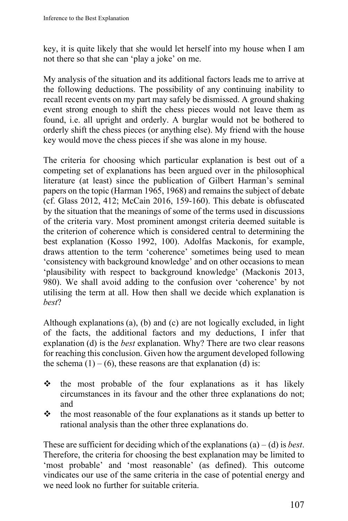key, it is quite likely that she would let herself into my house when I am not there so that she can 'play a joke' on me.

My analysis of the situation and its additional factors leads me to arrive at the following deductions. The possibility of any continuing inability to recall recent events on my part may safely be dismissed. A ground shaking event strong enough to shift the chess pieces would not leave them as found, i.e. all upright and orderly. A burglar would not be bothered to orderly shift the chess pieces (or anything else). My friend with the house key would move the chess pieces if she was alone in my house.

The criteria for choosing which particular explanation is best out of a competing set of explanations has been argued over in the philosophical literature (at least) since the publication of Gilbert Harman's seminal papers on the topic (Harman 1965, 1968) and remains the subject of debate (cf. Glass 2012, 412; McCain 2016, 159-160). This debate is obfuscated by the situation that the meanings of some of the terms used in discussions of the criteria vary. Most prominent amongst criteria deemed suitable is the criterion of coherence which is considered central to determining the best explanation (Kosso 1992, 100). Adolfas Mackonis, for example, draws attention to the term 'coherence' sometimes being used to mean 'consistency with background knowledge' and on other occasions to mean 'plausibility with respect to background knowledge' (Mackonis 2013, 980). We shall avoid adding to the confusion over 'coherence' by not utilising the term at all. How then shall we decide which explanation is *best*?

Although explanations (a), (b) and (c) are not logically excluded, in light of the facts, the additional factors and my deductions, I infer that explanation (d) is the *best* explanation. Why? There are two clear reasons for reaching this conclusion. Given how the argument developed following the schema  $(1) - (6)$ , these reasons are that explanation (d) is:

- $\cdot \cdot$  the most probable of the four explanations as it has likely circumstances in its favour and the other three explanations do not; and
- $\cdot \cdot$  the most reasonable of the four explanations as it stands up better to rational analysis than the other three explanations do.

These are sufficient for deciding which of the explanations (a) – (d) is *best*. Therefore, the criteria for choosing the best explanation may be limited to 'most probable' and 'most reasonable' (as defined). This outcome vindicates our use of the same criteria in the case of potential energy and we need look no further for suitable criteria.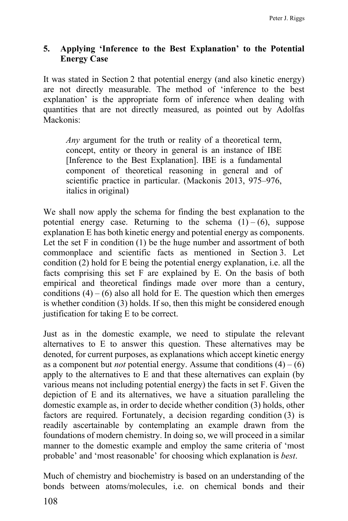# **5. Applying 'Inference to the Best Explanation' to the Potential Energy Case**

It was stated in Section 2 that potential energy (and also kinetic energy) are not directly measurable. The method of 'inference to the best explanation' is the appropriate form of inference when dealing with quantities that are not directly measured, as pointed out by Adolfas Mackonis:

*Any* argument for the truth or reality of a theoretical term, concept, entity or theory in general is an instance of IBE [Inference to the Best Explanation]. IBE is a fundamental component of theoretical reasoning in general and of scientific practice in particular. (Mackonis 2013, 975–976, italics in original)

We shall now apply the schema for finding the best explanation to the potential energy case. Returning to the schema  $(1) - (6)$ , suppose explanation E has both kinetic energy and potential energy as components. Let the set F in condition (1) be the huge number and assortment of both commonplace and scientific facts as mentioned in Section 3. Let condition (2) hold for E being the potential energy explanation, i.e. all the facts comprising this set F are explained by E. On the basis of both empirical and theoretical findings made over more than a century, conditions  $(4) - (6)$  also all hold for E. The question which then emerges is whether condition (3) holds. If so, then this might be considered enough justification for taking E to be correct.

Just as in the domestic example, we need to stipulate the relevant alternatives to E to answer this question. These alternatives may be denoted, for current purposes, as explanations which accept kinetic energy as a component but *not* potential energy. Assume that conditions  $(4) - (6)$ apply to the alternatives to E and that these alternatives can explain (by various means not including potential energy) the facts in set F. Given the depiction of E and its alternatives, we have a situation paralleling the domestic example as, in order to decide whether condition (3) holds, other factors are required. Fortunately, a decision regarding condition (3) is readily ascertainable by contemplating an example drawn from the foundations of modern chemistry. In doing so, we will proceed in a similar manner to the domestic example and employ the same criteria of 'most probable' and 'most reasonable' for choosing which explanation is *best*.

Much of chemistry and biochemistry is based on an understanding of the bonds between atoms/molecules, i.e. on chemical bonds and their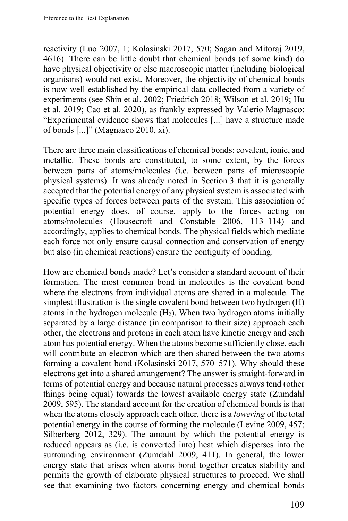reactivity (Luo 2007, 1; Kolasinski 2017, 570; Sagan and Mitoraj 2019, 4616). There can be little doubt that chemical bonds (of some kind) do have physical objectivity or else macroscopic matter (including biological organisms) would not exist. Moreover, the objectivity of chemical bonds is now well established by the empirical data collected from a variety of experiments (see Shin et al. 2002; Friedrich 2018; Wilson et al. 2019; Hu et al. 2019; Cao et al. 2020), as frankly expressed by Valerio Magnasco: "Experimental evidence shows that molecules [...] have a structure made of bonds [...]" (Magnasco 2010, xi).

There are three main classifications of chemical bonds: covalent, ionic, and metallic. These bonds are constituted, to some extent, by the forces between parts of atoms/molecules (i.e. between parts of microscopic physical systems). It was already noted in Section 3 that it is generally accepted that the potential energy of any physical system is associated with specific types of forces between parts of the system. This association of potential energy does, of course, apply to the forces acting on atoms/molecules (Housecroft and Constable 2006, 113–114) and accordingly, applies to chemical bonds. The physical fields which mediate each force not only ensure causal connection and conservation of energy but also (in chemical reactions) ensure the contiguity of bonding.

How are chemical bonds made? Let's consider a standard account of their formation. The most common bond in molecules is the covalent bond where the electrons from individual atoms are shared in a molecule. The simplest illustration is the single covalent bond between two hydrogen (H) atoms in the hydrogen molecule  $(H_2)$ . When two hydrogen atoms initially separated by a large distance (in comparison to their size) approach each other, the electrons and protons in each atom have kinetic energy and each atom has potential energy. When the atoms become sufficiently close, each will contribute an electron which are then shared between the two atoms forming a covalent bond (Kolasinski 2017, 570–571). Why should these electrons get into a shared arrangement? The answer is straight-forward in terms of potential energy and because natural processes always tend (other things being equal) towards the lowest available energy state (Zumdahl 2009, 595). The standard account for the creation of chemical bonds is that when the atoms closely approach each other, there is a *lowering* of the total potential energy in the course of forming the molecule (Levine 2009, 457; Silberberg 2012, 329). The amount by which the potential energy is reduced appears as (i.e. is converted into) heat which disperses into the surrounding environment (Zumdahl 2009, 411). In general, the lower energy state that arises when atoms bond together creates stability and permits the growth of elaborate physical structures to proceed. We shall see that examining two factors concerning energy and chemical bonds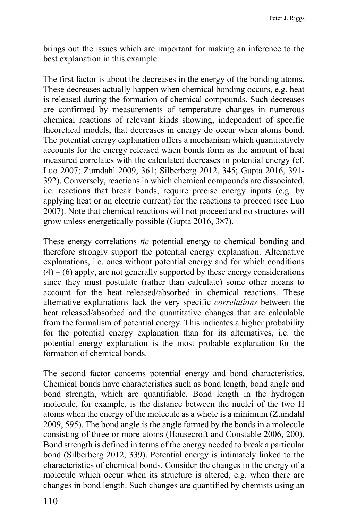brings out the issues which are important for making an inference to the best explanation in this example.

The first factor is about the decreases in the energy of the bonding atoms. These decreases actually happen when chemical bonding occurs, e.g. heat is released during the formation of chemical compounds. Such decreases are confirmed by measurements of temperature changes in numerous chemical reactions of relevant kinds showing, independent of specific theoretical models, that decreases in energy do occur when atoms bond. The potential energy explanation offers a mechanism which quantitatively accounts for the energy released when bonds form as the amount of heat measured correlates with the calculated decreases in potential energy (cf. Luo 2007; Zumdahl 2009, 361; Silberberg 2012, 345; Gupta 2016, 391- 392). Conversely, reactions in which chemical compounds are dissociated, i.e. reactions that break bonds, require precise energy inputs (e.g. by applying heat or an electric current) for the reactions to proceed (see Luo 2007). Note that chemical reactions will not proceed and no structures will grow unless energetically possible (Gupta 2016, 387).

These energy correlations *tie* potential energy to chemical bonding and therefore strongly support the potential energy explanation. Alternative explanations, i.e. ones without potential energy and for which conditions  $(4)$  – (6) apply, are not generally supported by these energy considerations since they must postulate (rather than calculate) some other means to account for the heat released/absorbed in chemical reactions. These alternative explanations lack the very specific *correlations* between the heat released/absorbed and the quantitative changes that are calculable from the formalism of potential energy. This indicates a higher probability for the potential energy explanation than for its alternatives, i.e. the potential energy explanation is the most probable explanation for the formation of chemical bonds.

The second factor concerns potential energy and bond characteristics. Chemical bonds have characteristics such as bond length, bond angle and bond strength, which are quantifiable. Bond length in the hydrogen molecule, for example, is the distance between the nuclei of the two H atoms when the energy of the molecule as a whole is a minimum (Zumdahl 2009, 595). The bond angle is the angle formed by the bonds in a molecule consisting of three or more atoms (Housecroft and Constable 2006, 200). Bond strength is defined in terms of the energy needed to break a particular bond (Silberberg 2012, 339). Potential energy is intimately linked to the characteristics of chemical bonds. Consider the changes in the energy of a molecule which occur when its structure is altered, e.g. when there are changes in bond length. Such changes are quantified by chemists using an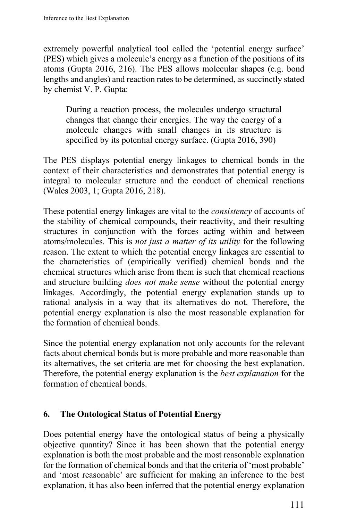extremely powerful analytical tool called the 'potential energy surface' (PES) which gives a molecule's energy as a function of the positions of its atoms (Gupta 2016, 216). The PES allows molecular shapes (e.g. bond lengths and angles) and reaction rates to be determined, as succinctly stated by chemist V. P. Gupta:

During a reaction process, the molecules undergo structural changes that change their energies. The way the energy of a molecule changes with small changes in its structure is specified by its potential energy surface. (Gupta 2016, 390)

The PES displays potential energy linkages to chemical bonds in the context of their characteristics and demonstrates that potential energy is integral to molecular structure and the conduct of chemical reactions (Wales 2003, 1; Gupta 2016, 218).

These potential energy linkages are vital to the *consistency* of accounts of the stability of chemical compounds, their reactivity, and their resulting structures in conjunction with the forces acting within and between atoms/molecules. This is *not just a matter of its utility* for the following reason. The extent to which the potential energy linkages are essential to the characteristics of (empirically verified) chemical bonds and the chemical structures which arise from them is such that chemical reactions and structure building *does not make sense* without the potential energy linkages. Accordingly, the potential energy explanation stands up to rational analysis in a way that its alternatives do not. Therefore, the potential energy explanation is also the most reasonable explanation for the formation of chemical bonds.

Since the potential energy explanation not only accounts for the relevant facts about chemical bonds but is more probable and more reasonable than its alternatives, the set criteria are met for choosing the best explanation. Therefore, the potential energy explanation is the *best explanation* for the formation of chemical bonds.

# **6. The Ontological Status of Potential Energy**

Does potential energy have the ontological status of being a physically objective quantity? Since it has been shown that the potential energy explanation is both the most probable and the most reasonable explanation for the formation of chemical bonds and that the criteria of 'most probable' and 'most reasonable' are sufficient for making an inference to the best explanation, it has also been inferred that the potential energy explanation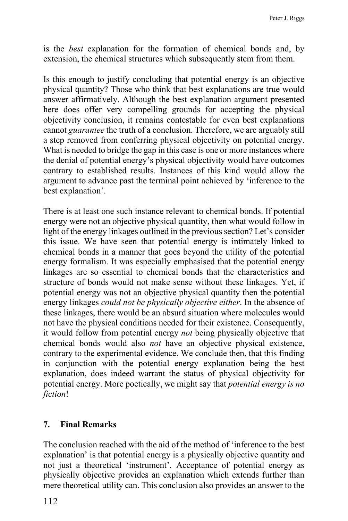is the *best* explanation for the formation of chemical bonds and, by extension, the chemical structures which subsequently stem from them.

Is this enough to justify concluding that potential energy is an objective physical quantity? Those who think that best explanations are true would answer affirmatively. Although the best explanation argument presented here does offer very compelling grounds for accepting the physical objectivity conclusion, it remains contestable for even best explanations cannot *guarantee* the truth of a conclusion. Therefore, we are arguably still a step removed from conferring physical objectivity on potential energy. What is needed to bridge the gap in this case is one or more instances where the denial of potential energy's physical objectivity would have outcomes contrary to established results. Instances of this kind would allow the argument to advance past the terminal point achieved by 'inference to the best explanation'.

There is at least one such instance relevant to chemical bonds. If potential energy were not an objective physical quantity, then what would follow in light of the energy linkages outlined in the previous section? Let's consider this issue. We have seen that potential energy is intimately linked to chemical bonds in a manner that goes beyond the utility of the potential energy formalism. It was especially emphasised that the potential energy linkages are so essential to chemical bonds that the characteristics and structure of bonds would not make sense without these linkages. Yet, if potential energy was not an objective physical quantity then the potential energy linkages *could not be physically objective either*. In the absence of these linkages, there would be an absurd situation where molecules would not have the physical conditions needed for their existence. Consequently, it would follow from potential energy *not* being physically objective that chemical bonds would also *not* have an objective physical existence, contrary to the experimental evidence. We conclude then, that this finding in conjunction with the potential energy explanation being the best explanation, does indeed warrant the status of physical objectivity for potential energy. More poetically, we might say that *potential energy is no fiction*!

# **7. Final Remarks**

The conclusion reached with the aid of the method of 'inference to the best explanation' is that potential energy is a physically objective quantity and not just a theoretical 'instrument'. Acceptance of potential energy as physically objective provides an explanation which extends further than mere theoretical utility can. This conclusion also provides an answer to the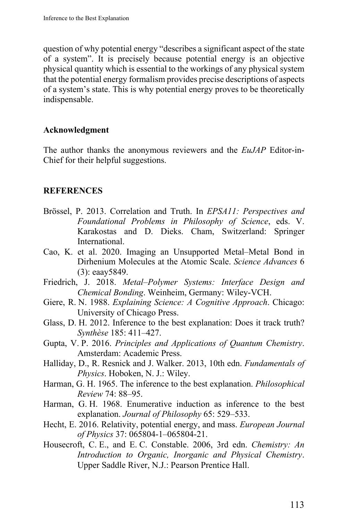question of why potential energy "describes a significant aspect of the state of a system". It is precisely because potential energy is an objective physical quantity which is essential to the workings of any physical system that the potential energy formalism provides precise descriptions of aspects of a system's state. This is why potential energy proves to be theoretically indispensable.

## **Acknowledgment**

The author thanks the anonymous reviewers and the *EuJAP* Editor-in-Chief for their helpful suggestions.

# **REFERENCES**

- Brössel, P. 2013. Correlation and Truth. In *EPSA11: Perspectives and Foundational Problems in Philosophy of Science*, eds. V. Karakostas and D. Dieks. Cham, Switzerland: Springer International.
- Cao, K. et al. 2020. Imaging an Unsupported Metal–Metal Bond in Dirhenium Molecules at the Atomic Scale. *Science Advances* 6 (3): eaay5849.
- Friedrich, J. 2018. *Metal–Polymer Systems: Interface Design and Chemical Bonding*. Weinheim, Germany: Wiley-VCH.
- Giere, R. N. 1988. *Explaining Science: A Cognitive Approach*. Chicago: University of Chicago Press.
- Glass, D. H. 2012. Inference to the best explanation: Does it track truth? *Synthèse* 185: 411–427.
- Gupta, V. P. 2016. *Principles and Applications of Quantum Chemistry*. Amsterdam: Academic Press.
- Halliday, D., R. Resnick and J. Walker. 2013, 10th edn. *Fundamentals of Physics*. Hoboken, N. J.: Wiley.
- Harman, G. H. 1965. The inference to the best explanation. *Philosophical Review* 74: 88–95.
- Harman, G. H. 1968. Enumerative induction as inference to the best explanation. *Journal of Philosophy* 65: 529–533.
- Hecht, E. 2016. Relativity, potential energy, and mass. *European Journal of Physics* 37: 065804-1–065804-21.
- Housecroft, C. E., and E. C. Constable. 2006, 3rd edn. *Chemistry: An Introduction to Organic, Inorganic and Physical Chemistry*. Upper Saddle River, N.J.: Pearson Prentice Hall.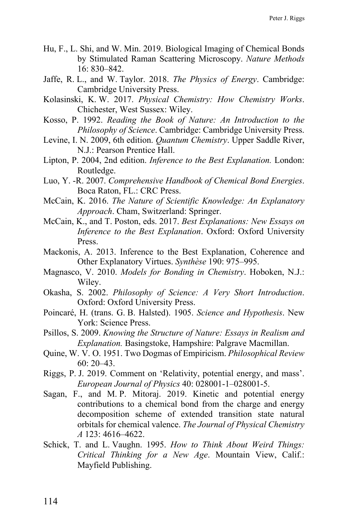- Hu, F., L. Shi, and W. Min. 2019. Biological Imaging of Chemical Bonds by Stimulated Raman Scattering Microscopy. *Nature Methods* 16: 830–842.
- Jaffe, R. L., and W. Taylor. 2018. *The Physics of Energy*. Cambridge: Cambridge University Press.
- Kolasinski, K. W. 2017. *Physical Chemistry: How Chemistry Works*. Chichester, West Sussex: Wiley.
- Kosso, P. 1992. *Reading the Book of Nature: An Introduction to the Philosophy of Science*. Cambridge: Cambridge University Press.
- Levine, I. N. 2009, 6th edition. *Quantum Chemistry*. Upper Saddle River, N.J.: Pearson Prentice Hall.
- Lipton, P. 2004, 2nd edition. *Inference to the Best Explanation.* London: Routledge.
- Luo, Y. -R. 2007. *Comprehensive Handbook of Chemical Bond Energies*. Boca Raton, FL.: CRC Press.
- McCain, K. 2016. *The Nature of Scientific Knowledge: An Explanatory Approach*. Cham, Switzerland: Springer.
- McCain, K., and T. Poston, eds. 2017. *Best Explanations: New Essays on Inference to the Best Explanation*. Oxford: Oxford University Press.
- Mackonis, A. 2013. Inference to the Best Explanation, Coherence and Other Explanatory Virtues. *Synthèse* 190: 975–995.
- Magnasco, V. 2010. *Models for Bonding in Chemistry*. Hoboken, N.J.: Wiley.
- Okasha, S. 2002. *Philosophy of Science: A Very Short Introduction*. Oxford: Oxford University Press.
- Poincaré, H. (trans. G. B. Halsted). 1905. *Science and Hypothesis*. New York: Science Press.
- Psillos, S. 2009. *Knowing the Structure of Nature: Essays in Realism and Explanation.* Basingstoke, Hampshire: Palgrave Macmillan.
- Quine, W. V. O. 1951. Two Dogmas of Empiricism. *Philosophical Review* 60: 20–43.
- Riggs, P. J. 2019. Comment on 'Relativity, potential energy, and mass'. *European Journal of Physics* 40: 028001-1–028001-5.
- Sagan, F., and M. P. Mitoraj. 2019. Kinetic and potential energy contributions to a chemical bond from the charge and energy decomposition scheme of extended transition state natural orbitals for chemical valence. *The Journal of Physical Chemistry A* 123: 4616–4622.
- Schick, T. and L. Vaughn. 1995. *How to Think About Weird Things: Critical Thinking for a New Age*. Mountain View, Calif.: Mayfield Publishing.